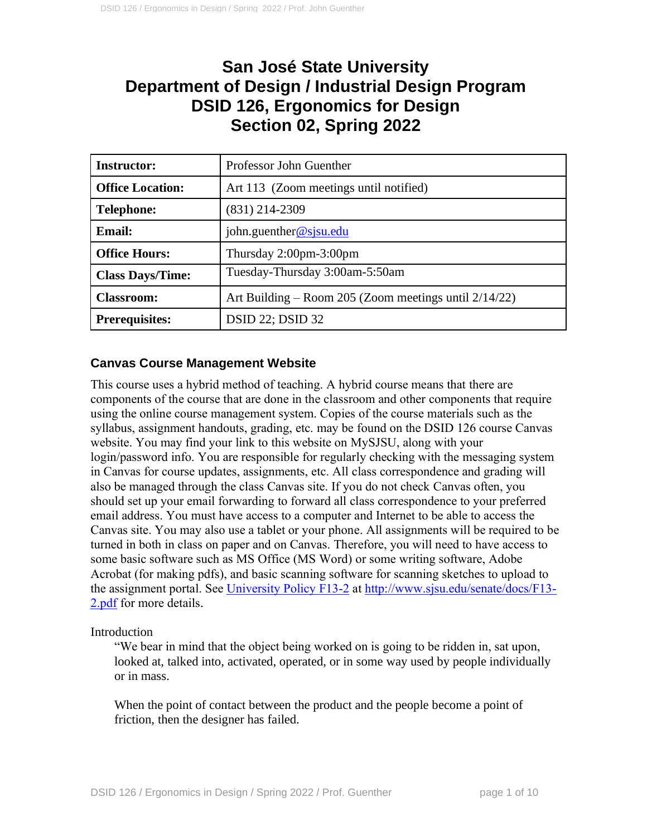# **San José State University Department of Design / Industrial Design Program DSID 126, Ergonomics for Design Section 02, Spring 2022**

| <b>Instructor:</b>      | Professor John Guenther                                  |
|-------------------------|----------------------------------------------------------|
| <b>Office Location:</b> | Art 113 (Zoom meetings until notified)                   |
| <b>Telephone:</b>       | $(831)$ 214-2309                                         |
| <b>Email:</b>           | john.guenther@sjsu.edu                                   |
| <b>Office Hours:</b>    | Thursday $2:00$ pm- $3:00$ pm                            |
| <b>Class Days/Time:</b> | Tuesday-Thursday 3:00am-5:50am                           |
| <b>Classroom:</b>       | Art Building – Room 205 (Zoom meetings until $2/14/22$ ) |
| <b>Prerequisites:</b>   | <b>DSID 22; DSID 32</b>                                  |

# **Canvas Course Management Website**

This course uses a hybrid method of teaching. A hybrid course means that there are components of the course that are done in the classroom and other components that require using the online course management system. Copies of the course materials such as the syllabus, assignment handouts, grading, etc. may be found on the DSID 126 course Canvas website. You may find your link to this website on MySJSU, along with your login/password info. You are responsible for regularly checking with the messaging system in Canvas for course updates, assignments, etc. All class correspondence and grading will also be managed through the class Canvas site. If you do not check Canvas often, you should set up your email forwarding to forward all class correspondence to your preferred email address. You must have access to a computer and Internet to be able to access the Canvas site. You may also use a tablet or your phone. All assignments will be required to be turned in both in class on paper and on Canvas. Therefore, you will need to have access to some basic software such as MS Office (MS Word) or some writing software, Adobe Acrobat (for making pdfs), and basic scanning software for scanning sketches to upload to the assignment portal. See [University Policy F13-2](http://www.sjsu.edu/senate/docs/F13-2.pdf) at [http://www.sjsu.edu/senate/docs/F13-](http://www.sjsu.edu/senate/docs/F13-2.pdf) [2.pdf](http://www.sjsu.edu/senate/docs/F13-2.pdf) for more details.

Introduction

"We bear in mind that the object being worked on is going to be ridden in, sat upon, looked at, talked into, activated, operated, or in some way used by people individually or in mass.

When the point of contact between the product and the people become a point of friction, then the designer has failed.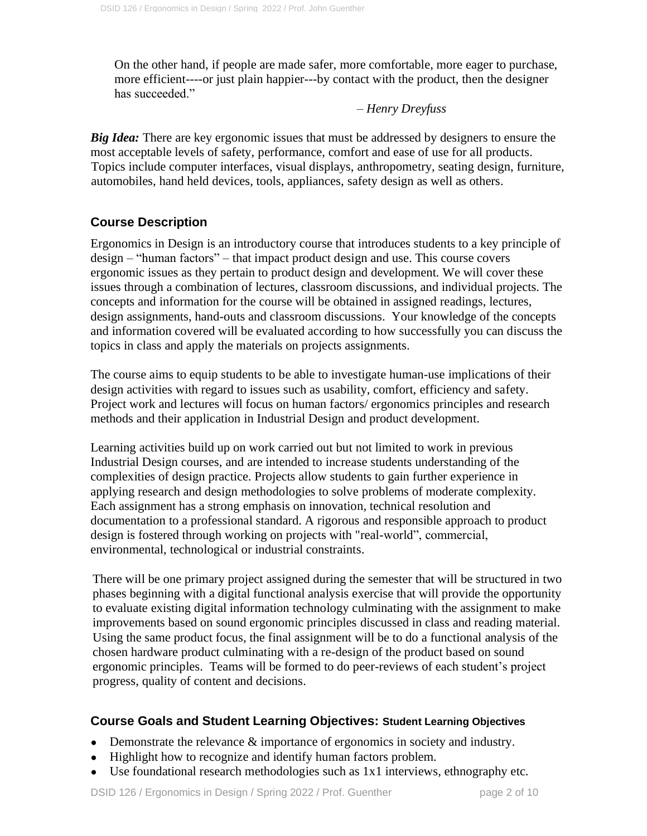On the other hand, if people are made safer, more comfortable, more eager to purchase, more efficient----or just plain happier---by contact with the product, then the designer has succeeded."

#### *– Henry Dreyfuss*

*Big Idea:* There are key ergonomic issues that must be addressed by designers to ensure the most acceptable levels of safety, performance, comfort and ease of use for all products. Topics include computer interfaces, visual displays, anthropometry, seating design, furniture, automobiles, hand held devices, tools, appliances, safety design as well as others.

## **Course Description**

Ergonomics in Design is an introductory course that introduces students to a key principle of design – "human factors" – that impact product design and use. This course covers ergonomic issues as they pertain to product design and development. We will cover these issues through a combination of lectures, classroom discussions, and individual projects. The concepts and information for the course will be obtained in assigned readings, lectures, design assignments, hand-outs and classroom discussions. Your knowledge of the concepts and information covered will be evaluated according to how successfully you can discuss the topics in class and apply the materials on projects assignments.

The course aims to equip students to be able to investigate human-use implications of their design activities with regard to issues such as usability, comfort, efficiency and safety. Project work and lectures will focus on human factors/ ergonomics principles and research methods and their application in Industrial Design and product development.

Learning activities build up on work carried out but not limited to work in previous Industrial Design courses, and are intended to increase students understanding of the complexities of design practice. Projects allow students to gain further experience in applying research and design methodologies to solve problems of moderate complexity. Each assignment has a strong emphasis on innovation, technical resolution and documentation to a professional standard. A rigorous and responsible approach to product design is fostered through working on projects with "real-world", commercial, environmental, technological or industrial constraints.

There will be one primary project assigned during the semester that will be structured in two phases beginning with a digital functional analysis exercise that will provide the opportunity to evaluate existing digital information technology culminating with the assignment to make improvements based on sound ergonomic principles discussed in class and reading material. Using the same product focus, the final assignment will be to do a functional analysis of the chosen hardware product culminating with a re-design of the product based on sound ergonomic principles. Teams will be formed to do peer-reviews of each student's project progress, quality of content and decisions.

#### **Course Goals and Student Learning Objectives: Student Learning Objectives**

- Demonstrate the relevance  $\&$  importance of ergonomics in society and industry.
- Highlight how to recognize and identify human factors problem.
- Use foundational research methodologies such as 1x1 interviews, ethnography etc.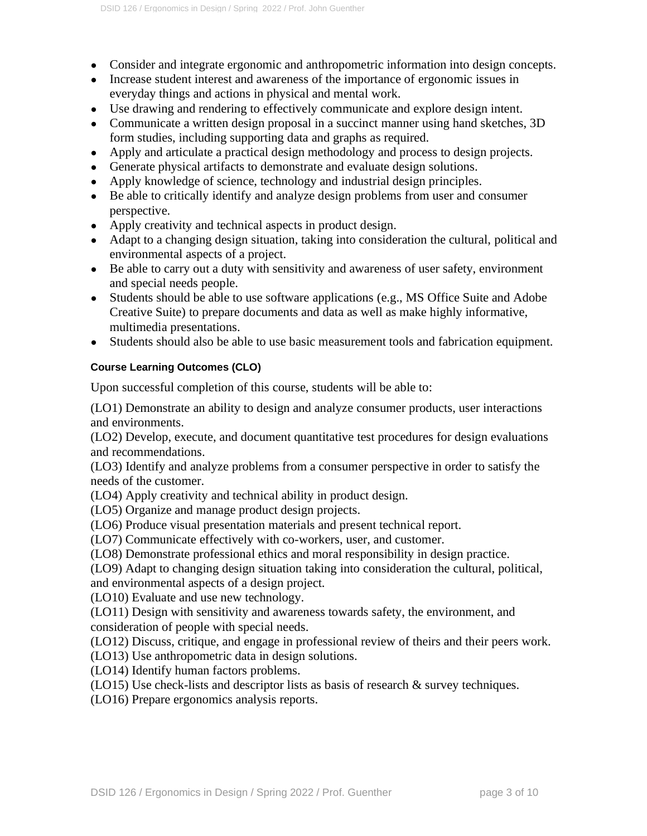- Consider and integrate ergonomic and anthropometric information into design concepts.
- Increase student interest and awareness of the importance of ergonomic issues in everyday things and actions in physical and mental work.
- Use drawing and rendering to effectively communicate and explore design intent.
- Communicate a written design proposal in a succinct manner using hand sketches, 3D form studies, including supporting data and graphs as required.
- Apply and articulate a practical design methodology and process to design projects.
- Generate physical artifacts to demonstrate and evaluate design solutions.
- Apply knowledge of science, technology and industrial design principles.
- Be able to critically identify and analyze design problems from user and consumer perspective.
- Apply creativity and technical aspects in product design.
- Adapt to a changing design situation, taking into consideration the cultural, political and environmental aspects of a project.
- Be able to carry out a duty with sensitivity and awareness of user safety, environment and special needs people.
- Students should be able to use software applications (e.g., MS Office Suite and Adobe Creative Suite) to prepare documents and data as well as make highly informative, multimedia presentations.
- Students should also be able to use basic measurement tools and fabrication equipment.

#### **Course Learning Outcomes (CLO)**

Upon successful completion of this course, students will be able to:

(LO1) Demonstrate an ability to design and analyze consumer products, user interactions and environments.

(LO2) Develop, execute, and document quantitative test procedures for design evaluations and recommendations.

(LO3) Identify and analyze problems from a consumer perspective in order to satisfy the needs of the customer.

(LO4) Apply creativity and technical ability in product design.

(LO5) Organize and manage product design projects.

(LO6) Produce visual presentation materials and present technical report.

(LO7) Communicate effectively with co-workers, user, and customer.

(LO8) Demonstrate professional ethics and moral responsibility in design practice.

(LO9) Adapt to changing design situation taking into consideration the cultural, political, and environmental aspects of a design project.

(LO10) Evaluate and use new technology.

(LO11) Design with sensitivity and awareness towards safety, the environment, and consideration of people with special needs.

(LO12) Discuss, critique, and engage in professional review of theirs and their peers work.

(LO13) Use anthropometric data in design solutions.

(LO14) Identify human factors problems.

(LO15) Use check-lists and descriptor lists as basis of research & survey techniques.

(LO16) Prepare ergonomics analysis reports.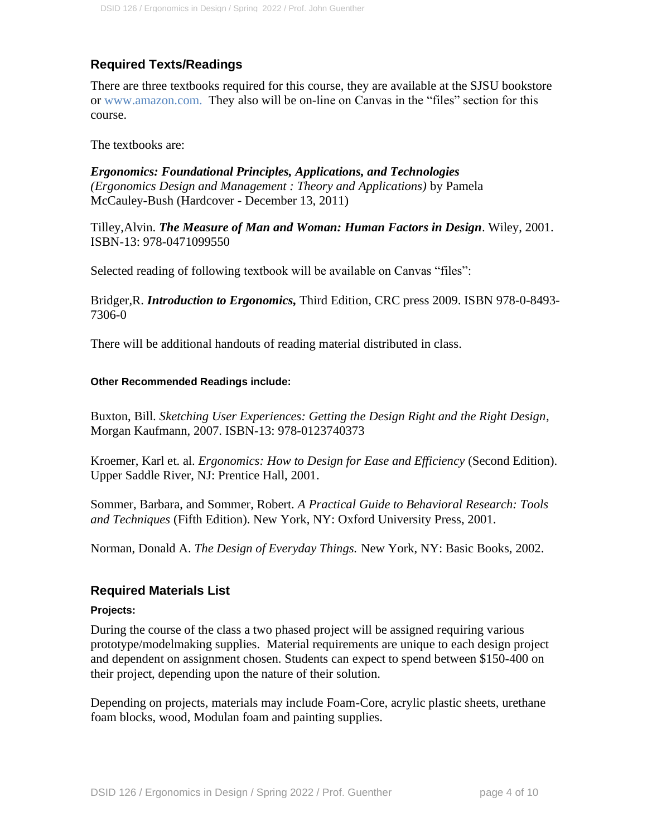# **Required Texts/Readings**

There are three textbooks required for this course, they are available at the SJSU bookstore or [www.amazon.com.](http://www.amazon.com/) They also will be on-line on Canvas in the "files" section for this course[.](http://www.amazon.com/)

The textbooks are:

*[Ergonomics: Foundational Principles, Applications, and Technologies](http://www.amazon.com/Ergonomics-Foundational-Principles-Applications-Technologies/dp/1439804451/ref%3Dcm_cr_pr_pb_t) [\(Ergonomics Design and Management : Theory and Applications\)](http://www.amazon.com/Ergonomics-Foundational-Principles-Applications-Technologies/dp/1439804451/ref%3Dcm_cr_pr_pb_t)* by Pamela McCauley-Bush (Hardcover - December 13, 2011)

Tilley,Alvin. *The Measure of Man and Woman: Human Factors in Design*. Wiley, 2001. ISBN-13: 978-0471099550

Selected reading of following textbook will be available on Canvas "files":

Bridger,R. *Introduction to Ergonomics,* Third Edition*,* CRC press 2009. ISBN 978-0-8493- 7306-0

There will be additional handouts of reading material distributed in class.

#### **Other Recommended Readings include:**

Buxton, Bill. *Sketching User Experiences: Getting the Design Right and the Right Design*, Morgan Kaufmann, 2007. ISBN-13: 978-0123740373

Kroemer, Karl et. al. *Ergonomics: How to Design for Ease and Efficiency* (Second Edition). Upper Saddle River, NJ: Prentice Hall, 2001.

Sommer, Barbara, and Sommer, Robert. *A Practical Guide to Behavioral Research: Tools and Techniques* (Fifth Edition). New York, NY: Oxford University Press, 2001.

Norman, Donald A. *The Design of Everyday Things.* New York, NY: Basic Books, 2002.

#### **Required Materials List**

#### **Projects:**

During the course of the class a two phased project will be assigned requiring various prototype/modelmaking supplies. Material requirements are unique to each design project and dependent on assignment chosen. Students can expect to spend between \$150-400 on their project, depending upon the nature of their solution.

Depending on projects, materials may include Foam-Core, acrylic plastic sheets, urethane foam blocks, wood, Modulan foam and painting supplies.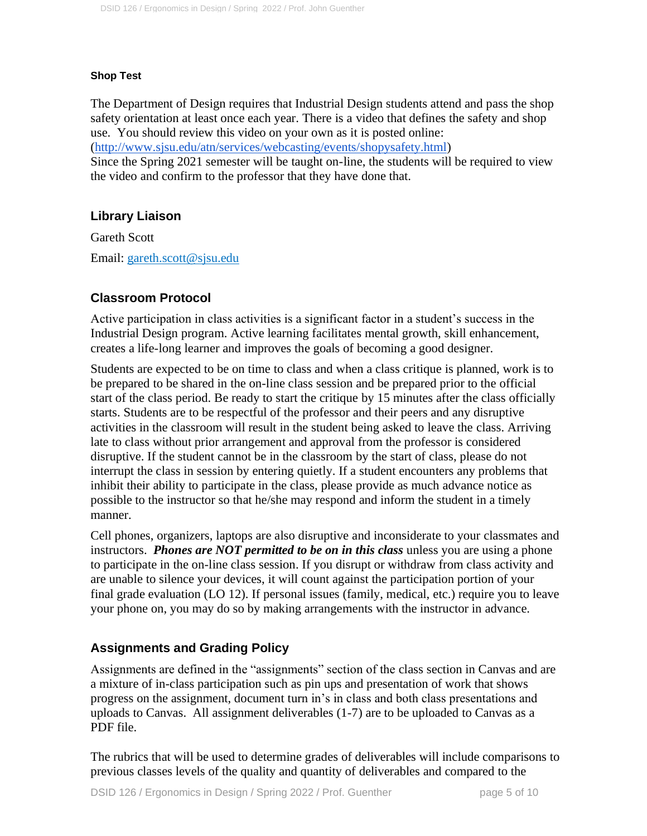#### **Shop Test**

The Department of Design requires that Industrial Design students attend and pass the shop safety orientation at least once each year. There is a video that defines the safety and shop use. You should review this video on your own as it is posted online:

[\(http://www.sjsu.edu/atn/services/webcasting/events/shopysafety.html\)](http://www.sjsu.edu/atn/services/webcasting/events/shopysafety.html)

Since the Spring 2021 semester will be taught on-line, the students will be required to view the video and confirm to the professor that they have done that.

## **Library Liaison**

Gareth Scott Email: gareth.scott@sjsu.edu

## **Classroom Protocol**

Active participation in class activities is a significant factor in a student's success in the Industrial Design program. Active learning facilitates mental growth, skill enhancement, creates a life-long learner and improves the goals of becoming a good designer.

Students are expected to be on time to class and when a class critique is planned, work is to be prepared to be shared in the on-line class session and be prepared prior to the official start of the class period. Be ready to start the critique by 15 minutes after the class officially starts. Students are to be respectful of the professor and their peers and any disruptive activities in the classroom will result in the student being asked to leave the class. Arriving late to class without prior arrangement and approval from the professor is considered disruptive. If the student cannot be in the classroom by the start of class, please do not interrupt the class in session by entering quietly. If a student encounters any problems that inhibit their ability to participate in the class, please provide as much advance notice as possible to the instructor so that he/she may respond and inform the student in a timely manner.

Cell phones, organizers, laptops are also disruptive and inconsiderate to your classmates and instructors. *Phones are NOT permitted to be on in this class* unless you are using a phone to participate in the on-line class session. If you disrupt or withdraw from class activity and are unable to silence your devices, it will count against the participation portion of your final grade evaluation (LO 12). If personal issues (family, medical, etc.) require you to leave your phone on, you may do so by making arrangements with the instructor in advance.

# **Assignments and Grading Policy**

Assignments are defined in the "assignments" section of the class section in Canvas and are a mixture of in-class participation such as pin ups and presentation of work that shows progress on the assignment, document turn in's in class and both class presentations and uploads to Canvas. All assignment deliverables (1-7) are to be uploaded to Canvas as a PDF file.

The rubrics that will be used to determine grades of deliverables will include comparisons to previous classes levels of the quality and quantity of deliverables and compared to the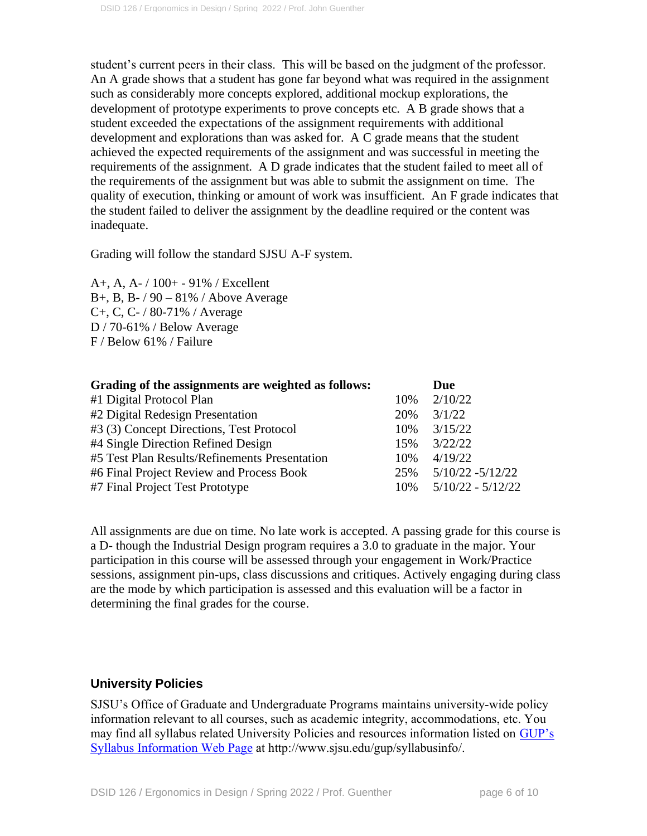student's current peers in their class. This will be based on the judgment of the professor. An A grade shows that a student has gone far beyond what was required in the assignment such as considerably more concepts explored, additional mockup explorations, the development of prototype experiments to prove concepts etc. A B grade shows that a student exceeded the expectations of the assignment requirements with additional development and explorations than was asked for. A C grade means that the student achieved the expected requirements of the assignment and was successful in meeting the requirements of the assignment. A D grade indicates that the student failed to meet all of the requirements of the assignment but was able to submit the assignment on time. The quality of execution, thinking or amount of work was insufficient. An F grade indicates that the student failed to deliver the assignment by the deadline required or the content was inadequate.

Grading will follow the standard SJSU A-F system.

A+, A, A- / 100+ - 91% / Excellent B+, B, B-  $/ 90 - 81\%$  / Above Average C+, C, C- / 80-71% / Average D / 70-61% / Below Average F / Below 61% / Failure

| Grading of the assignments are weighted as follows: |     | Due                 |
|-----------------------------------------------------|-----|---------------------|
| #1 Digital Protocol Plan                            | 10% | 2/10/22             |
| #2 Digital Redesign Presentation                    | 20% | 3/1/22              |
| #3 (3) Concept Directions, Test Protocol            | 10% | 3/15/22             |
| #4 Single Direction Refined Design                  | 15% | 3/22/22             |
| #5 Test Plan Results/Refinements Presentation       | 10% | 4/19/22             |
| #6 Final Project Review and Process Book            | 25% | $5/10/22 - 5/12/22$ |
| #7 Final Project Test Prototype                     | 10% | $5/10/22 - 5/12/22$ |

All assignments are due on time. No late work is accepted. A passing grade for this course is a D- though the Industrial Design program requires a 3.0 to graduate in the major. Your participation in this course will be assessed through your engagement in Work/Practice sessions, assignment pin-ups, class discussions and critiques. Actively engaging during class are the mode by which participation is assessed and this evaluation will be a factor in determining the final grades for the course.

## **University Policies**

SJSU's Office of Graduate and Undergraduate Programs maintains university-wide policy information relevant to all courses, such as academic integrity, accommodations, etc. You may find all syllabus related University Policies and resources information listed on [GUP's](http://www.sjsu.edu/gup/syllabusinfo/)  [Syllabus Information Web Page](http://www.sjsu.edu/gup/syllabusinfo/) at http://www.sjsu.edu/gup/syllabusinfo/.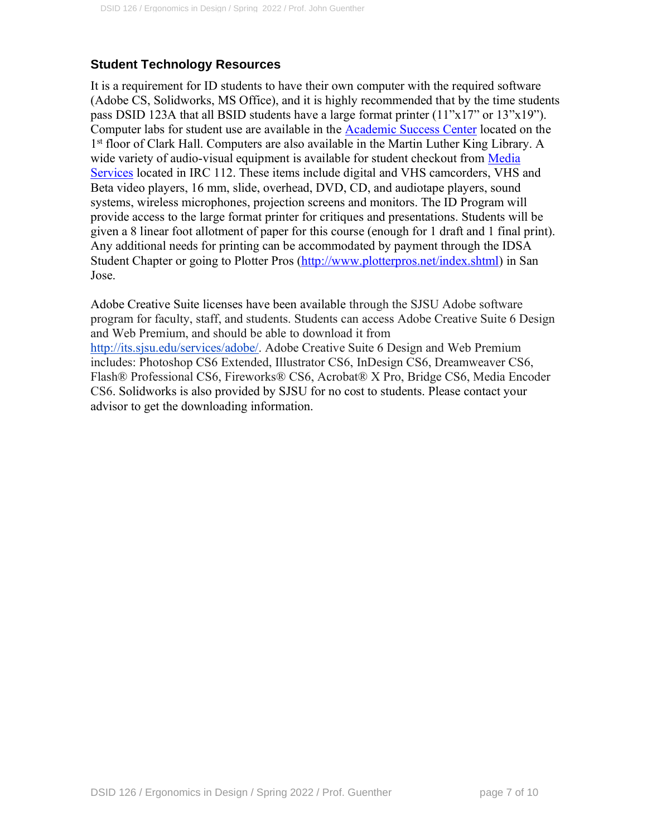## **Student Technology Resources**

It is a requirement for ID students to have their own computer with the required software (Adobe CS, Solidworks, MS Office), and it is highly recommended that by the time students pass DSID 123A that all BSID students have a large format printer (11"x17" or 13"x19"). Computer labs for student use are available in the [Academic Success Center](http://www.sjsu.edu/at/asc/about_asc/) located on the 1<sup>st</sup> floor of Clark Hall. Computers are also available in the Martin Luther King Library. A wide variety of audio-visual equipment is available for student checkout from Media [Services](http://www.sjsu.edu/at/ms/reservations/) located in IRC 112. These items include digital and VHS camcorders, VHS and Beta video players, 16 mm, slide, overhead, DVD, CD, and audiotape players, sound systems, wireless microphones, projection screens and monitors. The ID Program will provide access to the large format printer for critiques and presentations. Students will be given a 8 linear foot allotment of paper for this course (enough for 1 draft and 1 final print). Any additional needs for printing can be accommodated by payment through the IDSA Student Chapter or going to Plotter Pros [\(http://www.plotterpros.net/index.shtml\)](http://www.plotterpros.net/index.shtml) in San Jose.

Adobe Creative Suite licenses have been available through the SJSU Adobe software program for faculty, staff, and students. Students can access Adobe Creative Suite 6 Design and Web Premium, and should be able to download it from [http://its.sjsu.edu/services/adobe/.](http://its.sjsu.edu/services/adobe/) Adobe Creative Suite 6 Design and Web Premium includes: Photoshop CS6 Extended, Illustrator CS6, InDesign CS6, Dreamweaver CS6, Flash® Professional CS6, Fireworks® CS6, Acrobat® X Pro, Bridge CS6, Media Encoder CS6. Solidworks is also provided by SJSU for no cost to students. Please contact your advisor to get the downloading information.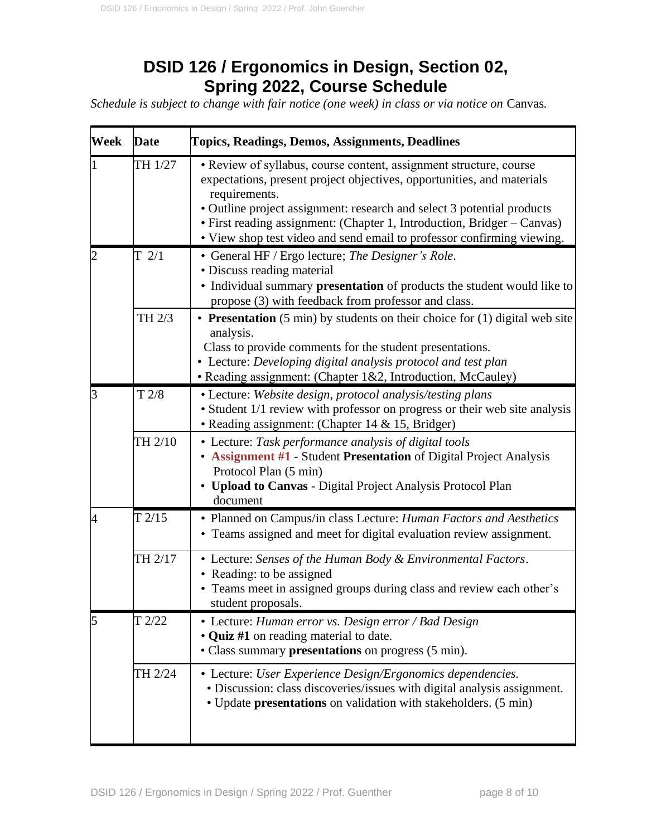# **DSID 126 / Ergonomics in Design, Section 02, Spring 2022, Course Schedule**

*Schedule is subject to change with fair notice (one week) in class or via notice on Canvas.* 

| <b>Week</b> | Date      | <b>Topics, Readings, Demos, Assignments, Deadlines</b>                                                                                                                                                                                                                                                                                                                                       |
|-------------|-----------|----------------------------------------------------------------------------------------------------------------------------------------------------------------------------------------------------------------------------------------------------------------------------------------------------------------------------------------------------------------------------------------------|
|             | TH 1/27   | • Review of syllabus, course content, assignment structure, course<br>expectations, present project objectives, opportunities, and materials<br>requirements.<br>• Outline project assignment: research and select 3 potential products<br>• First reading assignment: (Chapter 1, Introduction, Bridger – Canvas)<br>• View shop test video and send email to professor confirming viewing. |
|             | $T \t2/1$ | • General HF / Ergo lecture; The Designer's Role.<br>• Discuss reading material<br>· Individual summary presentation of products the student would like to<br>propose (3) with feedback from professor and class.                                                                                                                                                                            |
|             | TH 2/3    | • Presentation $(5 \text{ min})$ by students on their choice for $(1)$ digital web site<br>analysis.<br>Class to provide comments for the student presentations.<br>• Lecture: Developing digital analysis protocol and test plan<br>• Reading assignment: (Chapter 1&2, Introduction, McCauley)                                                                                             |
| 3           | T 2/8     | • Lecture: Website design, protocol analysis/testing plans<br>• Student 1/1 review with professor on progress or their web site analysis<br>• Reading assignment: (Chapter 14 & 15, Bridger)                                                                                                                                                                                                 |
|             | TH 2/10   | • Lecture: Task performance analysis of digital tools<br>• Assignment #1 - Student Presentation of Digital Project Analysis<br>Protocol Plan (5 min)<br><b>Upload to Canvas - Digital Project Analysis Protocol Plan</b><br>document                                                                                                                                                         |
| 4           | T2/15     | • Planned on Campus/in class Lecture: Human Factors and Aesthetics<br>• Teams assigned and meet for digital evaluation review assignment.                                                                                                                                                                                                                                                    |
|             | TH 2/17   | • Lecture: Senses of the Human Body & Environmental Factors.<br>• Reading: to be assigned<br>• Teams meet in assigned groups during class and review each other's<br>student proposals.                                                                                                                                                                                                      |
|             | T2/22     | • Lecture: Human error vs. Design error / Bad Design<br>• Quiz #1 on reading material to date.<br>• Class summary presentations on progress (5 min).                                                                                                                                                                                                                                         |
|             | TH 2/24   | • Lecture: User Experience Design/Ergonomics dependencies.<br>• Discussion: class discoveries/issues with digital analysis assignment.<br>• Update presentations on validation with stakeholders. (5 min)                                                                                                                                                                                    |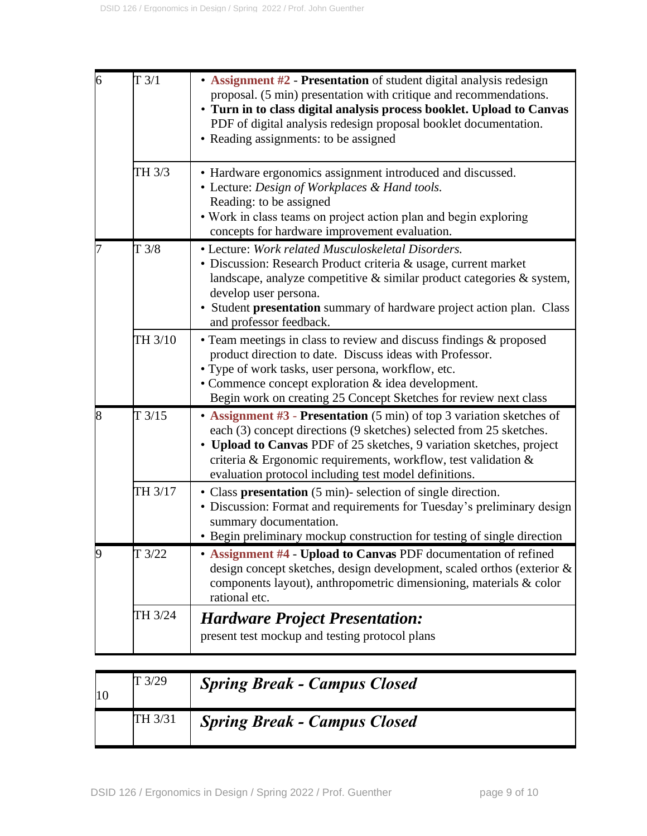| 6 | T3/1    | • Assignment #2 - Presentation of student digital analysis redesign<br>proposal. (5 min) presentation with critique and recommendations.<br>• Turn in to class digital analysis process booklet. Upload to Canvas<br>PDF of digital analysis redesign proposal booklet documentation.<br>• Reading assignments: to be assigned                  |
|---|---------|-------------------------------------------------------------------------------------------------------------------------------------------------------------------------------------------------------------------------------------------------------------------------------------------------------------------------------------------------|
|   | TH 3/3  | • Hardware ergonomics assignment introduced and discussed.<br>• Lecture: Design of Workplaces & Hand tools.<br>Reading: to be assigned<br>• Work in class teams on project action plan and begin exploring<br>concepts for hardware improvement evaluation.                                                                                     |
|   | T3/8    | • Lecture: Work related Musculoskeletal Disorders.<br>• Discussion: Research Product criteria & usage, current market<br>landscape, analyze competitive $\&$ similar product categories $\&$ system,<br>develop user persona.<br>• Student presentation summary of hardware project action plan. Class<br>and professor feedback.               |
|   | TH 3/10 | • Team meetings in class to review and discuss findings & proposed<br>product direction to date. Discuss ideas with Professor.<br>• Type of work tasks, user persona, workflow, etc.<br>• Commence concept exploration & idea development.<br>Begin work on creating 25 Concept Sketches for review next class                                  |
| 8 | T3/15   | • Assignment #3 - Presentation (5 min) of top 3 variation sketches of<br>each (3) concept directions (9 sketches) selected from 25 sketches.<br>• Upload to Canvas PDF of 25 sketches, 9 variation sketches, project<br>criteria & Ergonomic requirements, workflow, test validation &<br>evaluation protocol including test model definitions. |
|   | TH 3/17 | • Class presentation (5 min)- selection of single direction.<br>· Discussion: Format and requirements for Tuesday's preliminary design<br>summary documentation.<br>• Begin preliminary mockup construction for testing of single direction                                                                                                     |
|   | T3/22   | • Assignment #4 - Upload to Canvas PDF documentation of refined<br>design concept sketches, design development, scaled orthos (exterior &<br>components layout), anthropometric dimensioning, materials & color<br>rational etc.                                                                                                                |
|   | TH 3/24 | <b>Hardware Project Presentation:</b><br>present test mockup and testing protocol plans                                                                                                                                                                                                                                                         |

| 10 | T3/29   | <b>Spring Break - Campus Closed</b> |
|----|---------|-------------------------------------|
|    | TH 3/31 | <b>Spring Break - Campus Closed</b> |